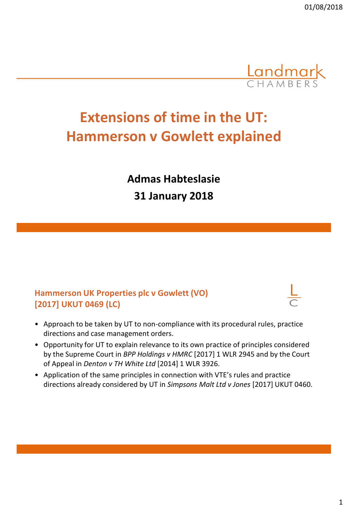

# **Extensions of time in the UT: Hammerson v Gowlett explained**

**Admas Habteslasie 31 January 2018**

## **Hammerson UK Properties plc v Gowlett (VO) [2017] UKUT 0469 (LC)**

- 
- Approach to be taken by UT to non-compliance with its procedural rules, practice directions and case management orders.
- Opportunity for UT to explain relevance to its own practice of principles considered by the Supreme Court in *BPP Holdings v HMRC* [2017] 1 WLR 2945 and by the Court of Appeal in *Denton v TH White Ltd* [2014] 1 WLR 3926.
- Application of the same principles in connection with VTE's rules and practice directions already considered by UT in *Simpsons Malt Ltd v Jones* [2017] UKUT 0460.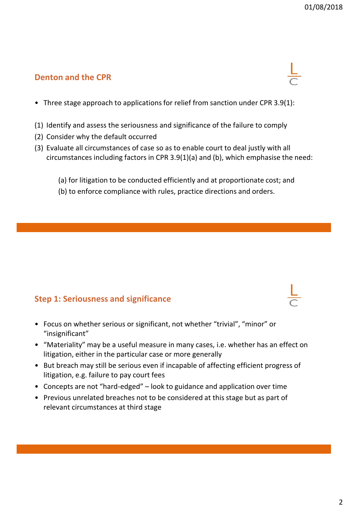## **Denton and the CPR**

- Three stage approach to applications for relief from sanction under CPR 3.9(1):
- (1) Identify and assess the seriousness and significance of the failure to comply
- (2) Consider why the default occurred
- (3) Evaluate all circumstances of case so as to enable court to deal justly with all circumstances including factors in CPR 3.9(1)(a) and (b), which emphasise the need:
	- (a) for litigation to be conducted efficiently and at proportionate cost; and
	- (b) to enforce compliance with rules, practice directions and orders.

#### **Step 1: Seriousness and significance**

- Focus on whether serious or significant, not whether "trivial", "minor" or "insignificant"
- "Materiality" may be a useful measure in many cases, i.e. whether has an effect on litigation, either in the particular case or more generally
- But breach may still be serious even if incapable of affecting efficient progress of litigation, e.g. failure to pay court fees
- Concepts are not "hard-edged" look to guidance and application over time
- Previous unrelated breaches not to be considered at this stage but as part of relevant circumstances at third stage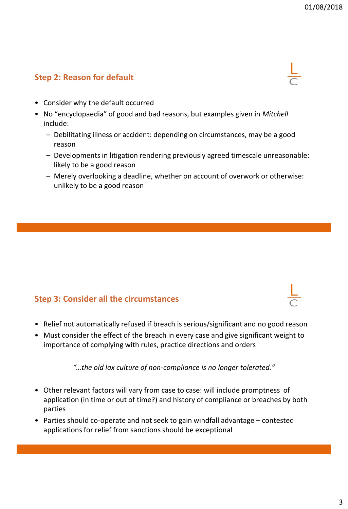## **Step 2: Reason for default**



- Consider why the default occurred
- No "encyclopaedia" of good and bad reasons, but examples given in *Mitchell* include:
	- Debilitating illness or accident: depending on circumstances, may be a good reason
	- Developments in litigation rendering previously agreed timescale unreasonable: likely to be a good reason
	- Merely overlooking a deadline, whether on account of overwork or otherwise: unlikely to be a good reason

#### **Step 3: Consider all the circumstances**

- Relief not automatically refused if breach is serious/significant and no good reason
- Must consider the effect of the breach in every case and give significant weight to importance of complying with rules, practice directions and orders

*"…the old lax culture of non-compliance is no longer tolerated."*

- Other relevant factors will vary from case to case: will include promptness of application (in time or out of time?) and history of compliance or breaches by both parties
- Parties should co-operate and not seek to gain windfall advantage contested applications for relief from sanctions should be exceptional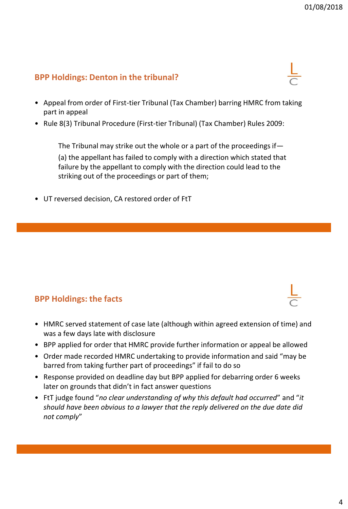#### **BPP Holdings: Denton in the tribunal?**

- Appeal from order of First-tier Tribunal (Tax Chamber) barring HMRC from taking part in appeal
- Rule 8(3) Tribunal Procedure (First-tier Tribunal) (Tax Chamber) Rules 2009:

The Tribunal may strike out the whole or a part of the proceedings if— (a) the appellant has failed to comply with a direction which stated that failure by the appellant to comply with the direction could lead to the striking out of the proceedings or part of them;

• UT reversed decision, CA restored order of FtT

#### **BPP Holdings: the facts**

- HMRC served statement of case late (although within agreed extension of time) and was a few days late with disclosure
- BPP applied for order that HMRC provide further information or appeal be allowed
- Order made recorded HMRC undertaking to provide information and said "may be barred from taking further part of proceedings" if fail to do so
- Response provided on deadline day but BPP applied for debarring order 6 weeks later on grounds that didn't in fact answer questions
- FtT judge found "*no clear understanding of why this default had occurred*" and "*it should have been obvious to a lawyer that the reply delivered on the due date did not comply*"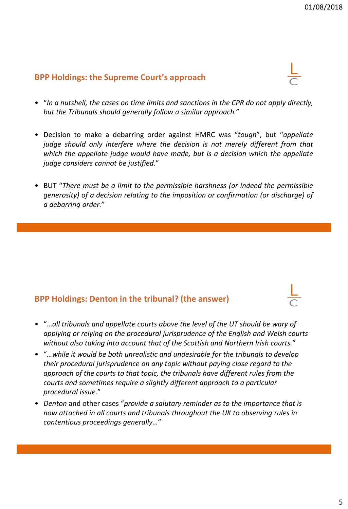#### **BPP Holdings: the Supreme Court's approach**

- "*In a nutshell, the cases on time limits and sanctions in the CPR do not apply directly, but the Tribunals should generally follow a similar approach.*"
- Decision to make a debarring order against HMRC was "*tough*", but "*appellate judge should only interfere where the decision is not merely different from that which the appellate judge would have made, but is a decision which the appellate judge considers cannot be justified.*"
- BUT "*There must be a limit to the permissible harshness (or indeed the permissible generosity) of a decision relating to the imposition or confirmation (or discharge) of a debarring order.*"

#### **BPP Holdings: Denton in the tribunal? (the answer)**

- "…*all tribunals and appellate courts above the level of the UT should be wary of applying or relying on the procedural jurisprudence of the English and Welsh courts without also taking into account that of the Scottish and Northern Irish courts.*"
- "*…while it would be both unrealistic and undesirable for the tribunals to develop their procedural jurisprudence on any topic without paying close regard to the approach of the courts to that topic, the tribunals have different rules from the courts and sometimes require a slightly different approach to a particular procedural issue.*"
- *Denton* and other cases "*provide a salutary reminder as to the importance that is now attached in all courts and tribunals throughout the UK to observing rules in contentious proceedings generally…*"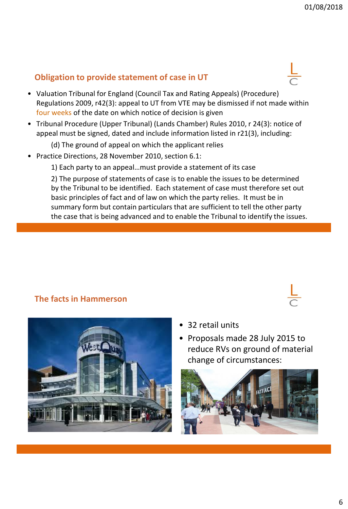## **Obligation to provide statement of case in UT**

- Valuation Tribunal for England (Council Tax and Rating Appeals) (Procedure) Regulations 2009, r42(3): appeal to UT from VTE may be dismissed if not made within four weeks of the date on which notice of decision is given
- Tribunal Procedure (Upper Tribunal) (Lands Chamber) Rules 2010, r 24(3): notice of appeal must be signed, dated and include information listed in r21(3), including:
	- (d) The ground of appeal on which the applicant relies
- Practice Directions, 28 November 2010, section 6.1:
	- 1) Each party to an appeal…must provide a statement of its case

2) The purpose of statements of case is to enable the issues to be determined by the Tribunal to be identified. Each statement of case must therefore set out basic principles of fact and of law on which the party relies. It must be in summary form but contain particulars that are sufficient to tell the other party the case that is being advanced and to enable the Tribunal to identify the issues.

## **The facts in Hammerson**



- 32 retail units
- Proposals made 28 July 2015 to reduce RVs on ground of material change of circumstances:

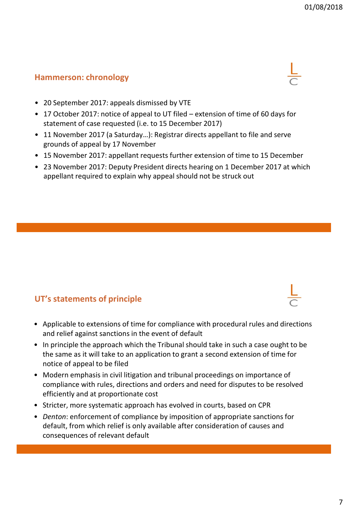#### **Hammerson: chronology**

- 20 September 2017: appeals dismissed by VTE
- 17 October 2017: notice of appeal to UT filed extension of time of 60 days for statement of case requested (i.e. to 15 December 2017)
- 11 November 2017 (a Saturday…): Registrar directs appellant to file and serve grounds of appeal by 17 November
- 15 November 2017: appellant requests further extension of time to 15 December
- 23 November 2017: Deputy President directs hearing on 1 December 2017 at which appellant required to explain why appeal should not be struck out

## **UT's statements of principle**

- Applicable to extensions of time for compliance with procedural rules and directions and relief against sanctions in the event of default
- In principle the approach which the Tribunal should take in such a case ought to be the same as it will take to an application to grant a second extension of time for notice of appeal to be filed
- Modern emphasis in civil litigation and tribunal proceedings on importance of compliance with rules, directions and orders and need for disputes to be resolved efficiently and at proportionate cost
- Stricter, more systematic approach has evolved in courts, based on CPR
- *Denton*: enforcement of compliance by imposition of appropriate sanctions for default, from which relief is only available after consideration of causes and consequences of relevant default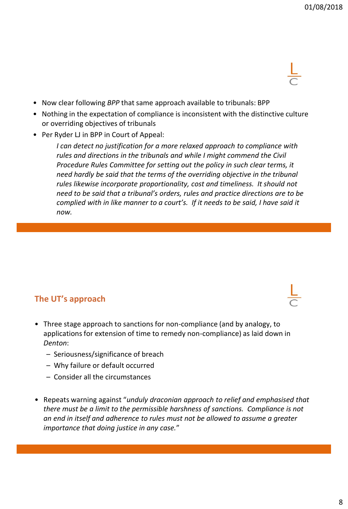- Now clear following *BPP* that same approach available to tribunals: BPP
- Nothing in the expectation of compliance is inconsistent with the distinctive culture or overriding objectives of tribunals
- Per Ryder LJ in BPP in Court of Appeal:

*I can detect no justification for a more relaxed approach to compliance with rules and directions in the tribunals and while I might commend the Civil Procedure Rules Committee for setting out the policy in such clear terms, it need hardly be said that the terms of the overriding objective in the tribunal rules likewise incorporate proportionality, cost and timeliness. It should not need to be said that a tribunal's orders, rules and practice directions are to be complied with in like manner to a court's. If it needs to be said, I have said it now.*

#### **The UT's approach**

- Three stage approach to sanctions for non-compliance (and by analogy, to applications for extension of time to remedy non-compliance) as laid down in *Denton*:
	- Seriousness/significance of breach
	- Why failure or default occurred
	- Consider all the circumstances
- Repeats warning against "*unduly draconian approach to relief and emphasised that there must be a limit to the permissible harshness of sanctions. Compliance is not an end in itself and adherence to rules must not be allowed to assume a greater importance that doing justice in any case.*"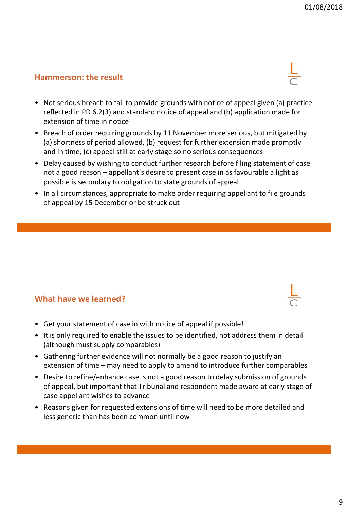#### **Hammerson: the result**

- Not serious breach to fail to provide grounds with notice of appeal given (a) practice reflected in PD 6.2(3) and standard notice of appeal and (b) application made for extension of time in notice
- Breach of order requiring grounds by 11 November more serious, but mitigated by (a) shortness of period allowed, (b) request for further extension made promptly and in time, (c) appeal still at early stage so no serious consequences
- Delay caused by wishing to conduct further research before filing statement of case not a good reason – appellant's desire to present case in as favourable a light as possible is secondary to obligation to state grounds of appeal
- In all circumstances, appropriate to make order requiring appellant to file grounds of appeal by 15 December or be struck out

#### **What have we learned?**

- Get your statement of case in with notice of appeal if possible!
- It is only required to enable the issues to be identified, not address them in detail (although must supply comparables)
- Gathering further evidence will not normally be a good reason to justify an extension of time – may need to apply to amend to introduce further comparables
- Desire to refine/enhance case is not a good reason to delay submission of grounds of appeal, but important that Tribunal and respondent made aware at early stage of case appellant wishes to advance
- Reasons given for requested extensions of time will need to be more detailed and less generic than has been common until now